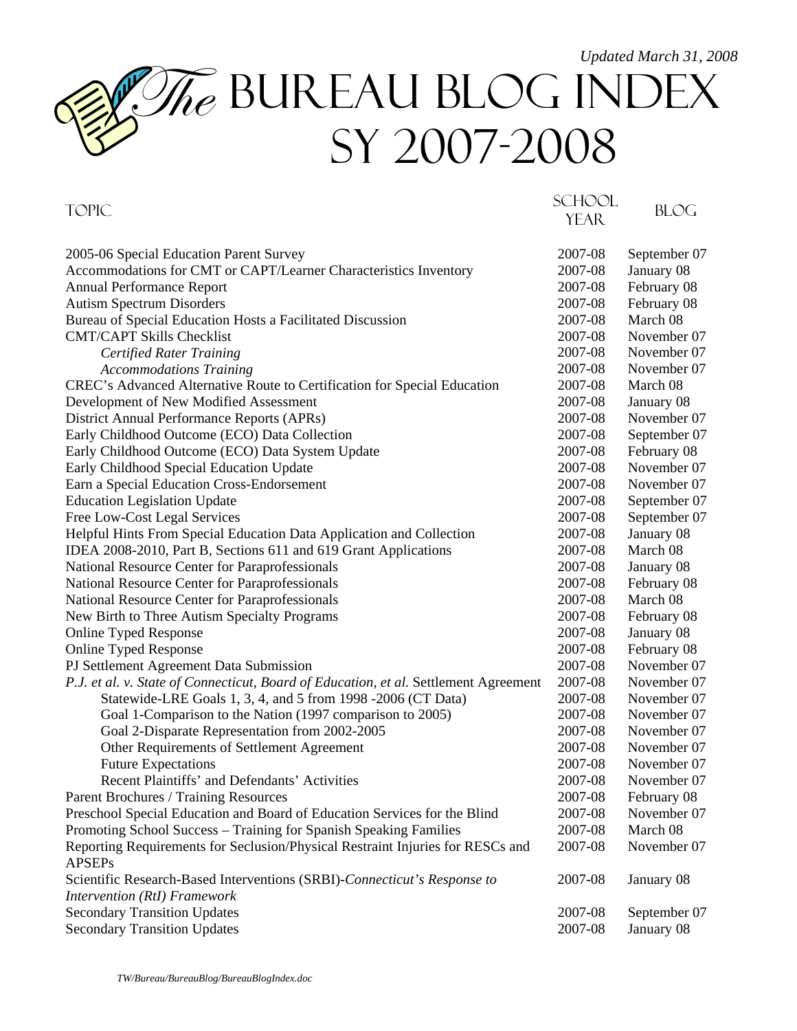## *Updated March 31, 2008*  The BUREAU BLOG INDEX SY 2007-2008

| <b>TOPIC</b><br><b>BLOG</b><br><b>YEAR</b><br>2005-06 Special Education Parent Survey<br>2007-08<br>September 07<br>Accommodations for CMT or CAPT/Learner Characteristics Inventory<br>2007-08<br>January 08<br>2007-08<br>Annual Performance Report<br>February 08<br>2007-08<br>February 08<br><b>Autism Spectrum Disorders</b><br>Bureau of Special Education Hosts a Facilitated Discussion<br>2007-08<br>March 08<br><b>CMT/CAPT Skills Checklist</b><br>2007-08<br>November 07<br>November 07<br><b>Certified Rater Training</b><br>2007-08<br>November 07<br><b>Accommodations Training</b><br>2007-08<br>March 08<br>CREC's Advanced Alternative Route to Certification for Special Education<br>2007-08<br>Development of New Modified Assessment<br>2007-08<br>January 08<br>District Annual Performance Reports (APRs)<br>2007-08<br>November 07<br>Early Childhood Outcome (ECO) Data Collection<br>2007-08<br>September 07<br>Early Childhood Outcome (ECO) Data System Update<br>2007-08<br>February 08<br>November 07<br>Early Childhood Special Education Update<br>2007-08<br>November 07<br>Earn a Special Education Cross-Endorsement<br>2007-08<br><b>Education Legislation Update</b><br>September 07<br>2007-08<br>Free Low-Cost Legal Services<br>2007-08<br>September 07<br>Helpful Hints From Special Education Data Application and Collection<br>January 08<br>2007-08<br>IDEA 2008-2010, Part B, Sections 611 and 619 Grant Applications<br>March 08<br>2007-08<br>National Resource Center for Paraprofessionals<br>2007-08<br>January 08<br>National Resource Center for Paraprofessionals<br>2007-08<br>February 08<br>National Resource Center for Paraprofessionals<br>2007-08<br>March 08<br>New Birth to Three Autism Specialty Programs<br>2007-08<br>February 08<br><b>Online Typed Response</b><br>2007-08<br>January 08 |
|-----------------------------------------------------------------------------------------------------------------------------------------------------------------------------------------------------------------------------------------------------------------------------------------------------------------------------------------------------------------------------------------------------------------------------------------------------------------------------------------------------------------------------------------------------------------------------------------------------------------------------------------------------------------------------------------------------------------------------------------------------------------------------------------------------------------------------------------------------------------------------------------------------------------------------------------------------------------------------------------------------------------------------------------------------------------------------------------------------------------------------------------------------------------------------------------------------------------------------------------------------------------------------------------------------------------------------------------------------------------------------------------------------------------------------------------------------------------------------------------------------------------------------------------------------------------------------------------------------------------------------------------------------------------------------------------------------------------------------------------------------------------------------------------------------------------------------------------------------------------|
|                                                                                                                                                                                                                                                                                                                                                                                                                                                                                                                                                                                                                                                                                                                                                                                                                                                                                                                                                                                                                                                                                                                                                                                                                                                                                                                                                                                                                                                                                                                                                                                                                                                                                                                                                                                                                                                                 |
|                                                                                                                                                                                                                                                                                                                                                                                                                                                                                                                                                                                                                                                                                                                                                                                                                                                                                                                                                                                                                                                                                                                                                                                                                                                                                                                                                                                                                                                                                                                                                                                                                                                                                                                                                                                                                                                                 |
|                                                                                                                                                                                                                                                                                                                                                                                                                                                                                                                                                                                                                                                                                                                                                                                                                                                                                                                                                                                                                                                                                                                                                                                                                                                                                                                                                                                                                                                                                                                                                                                                                                                                                                                                                                                                                                                                 |
|                                                                                                                                                                                                                                                                                                                                                                                                                                                                                                                                                                                                                                                                                                                                                                                                                                                                                                                                                                                                                                                                                                                                                                                                                                                                                                                                                                                                                                                                                                                                                                                                                                                                                                                                                                                                                                                                 |
|                                                                                                                                                                                                                                                                                                                                                                                                                                                                                                                                                                                                                                                                                                                                                                                                                                                                                                                                                                                                                                                                                                                                                                                                                                                                                                                                                                                                                                                                                                                                                                                                                                                                                                                                                                                                                                                                 |
|                                                                                                                                                                                                                                                                                                                                                                                                                                                                                                                                                                                                                                                                                                                                                                                                                                                                                                                                                                                                                                                                                                                                                                                                                                                                                                                                                                                                                                                                                                                                                                                                                                                                                                                                                                                                                                                                 |
|                                                                                                                                                                                                                                                                                                                                                                                                                                                                                                                                                                                                                                                                                                                                                                                                                                                                                                                                                                                                                                                                                                                                                                                                                                                                                                                                                                                                                                                                                                                                                                                                                                                                                                                                                                                                                                                                 |
|                                                                                                                                                                                                                                                                                                                                                                                                                                                                                                                                                                                                                                                                                                                                                                                                                                                                                                                                                                                                                                                                                                                                                                                                                                                                                                                                                                                                                                                                                                                                                                                                                                                                                                                                                                                                                                                                 |
|                                                                                                                                                                                                                                                                                                                                                                                                                                                                                                                                                                                                                                                                                                                                                                                                                                                                                                                                                                                                                                                                                                                                                                                                                                                                                                                                                                                                                                                                                                                                                                                                                                                                                                                                                                                                                                                                 |
|                                                                                                                                                                                                                                                                                                                                                                                                                                                                                                                                                                                                                                                                                                                                                                                                                                                                                                                                                                                                                                                                                                                                                                                                                                                                                                                                                                                                                                                                                                                                                                                                                                                                                                                                                                                                                                                                 |
|                                                                                                                                                                                                                                                                                                                                                                                                                                                                                                                                                                                                                                                                                                                                                                                                                                                                                                                                                                                                                                                                                                                                                                                                                                                                                                                                                                                                                                                                                                                                                                                                                                                                                                                                                                                                                                                                 |
|                                                                                                                                                                                                                                                                                                                                                                                                                                                                                                                                                                                                                                                                                                                                                                                                                                                                                                                                                                                                                                                                                                                                                                                                                                                                                                                                                                                                                                                                                                                                                                                                                                                                                                                                                                                                                                                                 |
|                                                                                                                                                                                                                                                                                                                                                                                                                                                                                                                                                                                                                                                                                                                                                                                                                                                                                                                                                                                                                                                                                                                                                                                                                                                                                                                                                                                                                                                                                                                                                                                                                                                                                                                                                                                                                                                                 |
|                                                                                                                                                                                                                                                                                                                                                                                                                                                                                                                                                                                                                                                                                                                                                                                                                                                                                                                                                                                                                                                                                                                                                                                                                                                                                                                                                                                                                                                                                                                                                                                                                                                                                                                                                                                                                                                                 |
|                                                                                                                                                                                                                                                                                                                                                                                                                                                                                                                                                                                                                                                                                                                                                                                                                                                                                                                                                                                                                                                                                                                                                                                                                                                                                                                                                                                                                                                                                                                                                                                                                                                                                                                                                                                                                                                                 |
|                                                                                                                                                                                                                                                                                                                                                                                                                                                                                                                                                                                                                                                                                                                                                                                                                                                                                                                                                                                                                                                                                                                                                                                                                                                                                                                                                                                                                                                                                                                                                                                                                                                                                                                                                                                                                                                                 |
|                                                                                                                                                                                                                                                                                                                                                                                                                                                                                                                                                                                                                                                                                                                                                                                                                                                                                                                                                                                                                                                                                                                                                                                                                                                                                                                                                                                                                                                                                                                                                                                                                                                                                                                                                                                                                                                                 |
|                                                                                                                                                                                                                                                                                                                                                                                                                                                                                                                                                                                                                                                                                                                                                                                                                                                                                                                                                                                                                                                                                                                                                                                                                                                                                                                                                                                                                                                                                                                                                                                                                                                                                                                                                                                                                                                                 |
|                                                                                                                                                                                                                                                                                                                                                                                                                                                                                                                                                                                                                                                                                                                                                                                                                                                                                                                                                                                                                                                                                                                                                                                                                                                                                                                                                                                                                                                                                                                                                                                                                                                                                                                                                                                                                                                                 |
|                                                                                                                                                                                                                                                                                                                                                                                                                                                                                                                                                                                                                                                                                                                                                                                                                                                                                                                                                                                                                                                                                                                                                                                                                                                                                                                                                                                                                                                                                                                                                                                                                                                                                                                                                                                                                                                                 |
|                                                                                                                                                                                                                                                                                                                                                                                                                                                                                                                                                                                                                                                                                                                                                                                                                                                                                                                                                                                                                                                                                                                                                                                                                                                                                                                                                                                                                                                                                                                                                                                                                                                                                                                                                                                                                                                                 |
|                                                                                                                                                                                                                                                                                                                                                                                                                                                                                                                                                                                                                                                                                                                                                                                                                                                                                                                                                                                                                                                                                                                                                                                                                                                                                                                                                                                                                                                                                                                                                                                                                                                                                                                                                                                                                                                                 |
|                                                                                                                                                                                                                                                                                                                                                                                                                                                                                                                                                                                                                                                                                                                                                                                                                                                                                                                                                                                                                                                                                                                                                                                                                                                                                                                                                                                                                                                                                                                                                                                                                                                                                                                                                                                                                                                                 |
|                                                                                                                                                                                                                                                                                                                                                                                                                                                                                                                                                                                                                                                                                                                                                                                                                                                                                                                                                                                                                                                                                                                                                                                                                                                                                                                                                                                                                                                                                                                                                                                                                                                                                                                                                                                                                                                                 |
|                                                                                                                                                                                                                                                                                                                                                                                                                                                                                                                                                                                                                                                                                                                                                                                                                                                                                                                                                                                                                                                                                                                                                                                                                                                                                                                                                                                                                                                                                                                                                                                                                                                                                                                                                                                                                                                                 |
|                                                                                                                                                                                                                                                                                                                                                                                                                                                                                                                                                                                                                                                                                                                                                                                                                                                                                                                                                                                                                                                                                                                                                                                                                                                                                                                                                                                                                                                                                                                                                                                                                                                                                                                                                                                                                                                                 |
| February 08<br><b>Online Typed Response</b><br>2007-08                                                                                                                                                                                                                                                                                                                                                                                                                                                                                                                                                                                                                                                                                                                                                                                                                                                                                                                                                                                                                                                                                                                                                                                                                                                                                                                                                                                                                                                                                                                                                                                                                                                                                                                                                                                                          |
| November 07<br>PJ Settlement Agreement Data Submission<br>2007-08                                                                                                                                                                                                                                                                                                                                                                                                                                                                                                                                                                                                                                                                                                                                                                                                                                                                                                                                                                                                                                                                                                                                                                                                                                                                                                                                                                                                                                                                                                                                                                                                                                                                                                                                                                                               |
| 2007-08<br>November 07<br>P.J. et al. v. State of Connecticut, Board of Education, et al. Settlement Agreement                                                                                                                                                                                                                                                                                                                                                                                                                                                                                                                                                                                                                                                                                                                                                                                                                                                                                                                                                                                                                                                                                                                                                                                                                                                                                                                                                                                                                                                                                                                                                                                                                                                                                                                                                  |
| Statewide-LRE Goals 1, 3, 4, and 5 from 1998 -2006 (CT Data)<br>November 07<br>2007-08                                                                                                                                                                                                                                                                                                                                                                                                                                                                                                                                                                                                                                                                                                                                                                                                                                                                                                                                                                                                                                                                                                                                                                                                                                                                                                                                                                                                                                                                                                                                                                                                                                                                                                                                                                          |
| Goal 1-Comparison to the Nation (1997 comparison to 2005)<br>2007-08<br>November 07                                                                                                                                                                                                                                                                                                                                                                                                                                                                                                                                                                                                                                                                                                                                                                                                                                                                                                                                                                                                                                                                                                                                                                                                                                                                                                                                                                                                                                                                                                                                                                                                                                                                                                                                                                             |
| Goal 2-Disparate Representation from 2002-2005<br>2007-08<br>November 07                                                                                                                                                                                                                                                                                                                                                                                                                                                                                                                                                                                                                                                                                                                                                                                                                                                                                                                                                                                                                                                                                                                                                                                                                                                                                                                                                                                                                                                                                                                                                                                                                                                                                                                                                                                        |
| Other Requirements of Settlement Agreement<br>2007-08<br>November 07                                                                                                                                                                                                                                                                                                                                                                                                                                                                                                                                                                                                                                                                                                                                                                                                                                                                                                                                                                                                                                                                                                                                                                                                                                                                                                                                                                                                                                                                                                                                                                                                                                                                                                                                                                                            |
| 2007-08<br><b>Future Expectations</b><br>November 07                                                                                                                                                                                                                                                                                                                                                                                                                                                                                                                                                                                                                                                                                                                                                                                                                                                                                                                                                                                                                                                                                                                                                                                                                                                                                                                                                                                                                                                                                                                                                                                                                                                                                                                                                                                                            |
| Recent Plaintiffs' and Defendants' Activities<br>2007-08<br>November 07                                                                                                                                                                                                                                                                                                                                                                                                                                                                                                                                                                                                                                                                                                                                                                                                                                                                                                                                                                                                                                                                                                                                                                                                                                                                                                                                                                                                                                                                                                                                                                                                                                                                                                                                                                                         |
| 2007-08<br>Parent Brochures / Training Resources<br>February 08                                                                                                                                                                                                                                                                                                                                                                                                                                                                                                                                                                                                                                                                                                                                                                                                                                                                                                                                                                                                                                                                                                                                                                                                                                                                                                                                                                                                                                                                                                                                                                                                                                                                                                                                                                                                 |
| Preschool Special Education and Board of Education Services for the Blind<br>2007-08<br>November 07                                                                                                                                                                                                                                                                                                                                                                                                                                                                                                                                                                                                                                                                                                                                                                                                                                                                                                                                                                                                                                                                                                                                                                                                                                                                                                                                                                                                                                                                                                                                                                                                                                                                                                                                                             |
| Promoting School Success - Training for Spanish Speaking Families<br>March 08<br>2007-08                                                                                                                                                                                                                                                                                                                                                                                                                                                                                                                                                                                                                                                                                                                                                                                                                                                                                                                                                                                                                                                                                                                                                                                                                                                                                                                                                                                                                                                                                                                                                                                                                                                                                                                                                                        |
| Reporting Requirements for Seclusion/Physical Restraint Injuries for RESCs and<br>November 07<br>2007-08                                                                                                                                                                                                                                                                                                                                                                                                                                                                                                                                                                                                                                                                                                                                                                                                                                                                                                                                                                                                                                                                                                                                                                                                                                                                                                                                                                                                                                                                                                                                                                                                                                                                                                                                                        |
| <b>APSEPs</b>                                                                                                                                                                                                                                                                                                                                                                                                                                                                                                                                                                                                                                                                                                                                                                                                                                                                                                                                                                                                                                                                                                                                                                                                                                                                                                                                                                                                                                                                                                                                                                                                                                                                                                                                                                                                                                                   |
| Scientific Research-Based Interventions (SRBI)-Connecticut's Response to<br>2007-08<br>January 08                                                                                                                                                                                                                                                                                                                                                                                                                                                                                                                                                                                                                                                                                                                                                                                                                                                                                                                                                                                                                                                                                                                                                                                                                                                                                                                                                                                                                                                                                                                                                                                                                                                                                                                                                               |
| Intervention (RtI) Framework                                                                                                                                                                                                                                                                                                                                                                                                                                                                                                                                                                                                                                                                                                                                                                                                                                                                                                                                                                                                                                                                                                                                                                                                                                                                                                                                                                                                                                                                                                                                                                                                                                                                                                                                                                                                                                    |
| <b>Secondary Transition Updates</b><br>2007-08<br>September 07                                                                                                                                                                                                                                                                                                                                                                                                                                                                                                                                                                                                                                                                                                                                                                                                                                                                                                                                                                                                                                                                                                                                                                                                                                                                                                                                                                                                                                                                                                                                                                                                                                                                                                                                                                                                  |
| <b>Secondary Transition Updates</b><br>2007-08<br>January 08                                                                                                                                                                                                                                                                                                                                                                                                                                                                                                                                                                                                                                                                                                                                                                                                                                                                                                                                                                                                                                                                                                                                                                                                                                                                                                                                                                                                                                                                                                                                                                                                                                                                                                                                                                                                    |